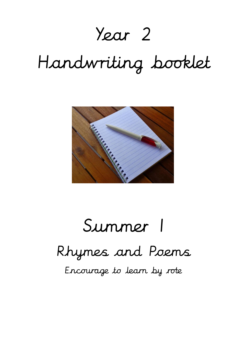## Year 2

# Handwriting booklet



# Summer 1

### Rhymes and Poems

Encourage to learn by rote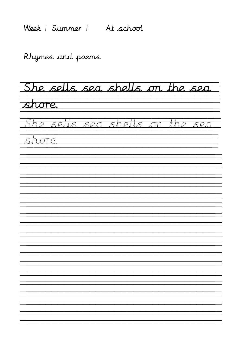Week | Summer | At school

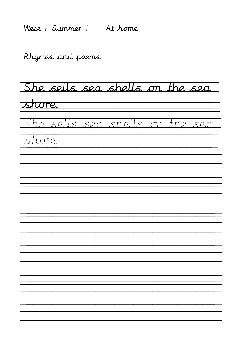Week 1 Summer 1 At home

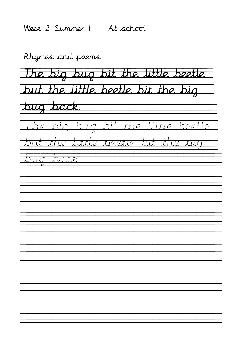Week 2 Summer 1 At school

The big bug bit the little beetle but the little beetle bit the big bug back. The big bug bit the little beetle <u>but the little beetle bit the big </u> bug back.  $\frac{1}{\sqrt{2}}$   $\frac{1}{\sqrt{2}}$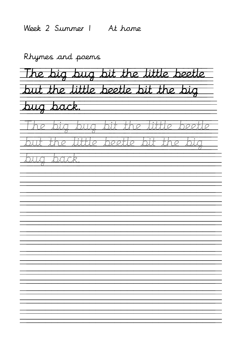Week 2 Summer 1 At home

The big bug bit the little beetle but the little beetle bit the big bug back. The big bug bit the little beetle <u>but the little beetle bit the big </u> bug back.  $\frac{1}{\sqrt{2}}$   $\frac{1}{\sqrt{2}}$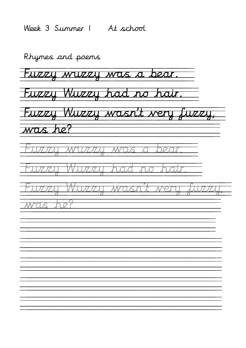Week 3 Summer 1 At school

Rhymes and poems Fuzzy wuzzy was a bear. Fuzzy Wuzzy had no hair. Fuzzy Wuzzy wasn't very fuzzy, was he? Fuzzy wuzzy was a bear. <u>wzzy Wwzzy had no hair</u> Fuzzy Wuzzy wasn't very fuzzy, was he?  $\equiv$  $\frac{1}{\sqrt{2}}$   $\overline{\phantom{a}}$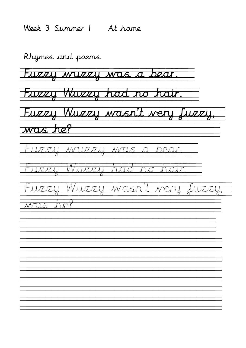Week 3 Summer 1 At home

Rhymes and poems Fuzzy wuzzy was a bear. Fuzzy Wuzzy had no hair. Fuzzy Wuzzy wasn't very fuzzy, was he?

 $\equiv$ 

 $\frac{1}{\sqrt{2}}$ 

 $\overline{\phantom{a}}$ 

Fuzzy wuzzy was a bear.

<u>wzzy Wwzzy had no hair</u>

Fuzzy Wuzzy wasn't very fuzzy, was he?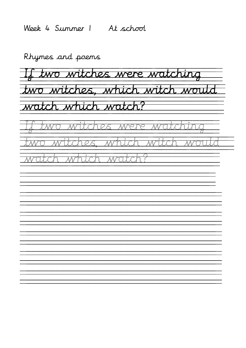Week 4 Summer 1 At school

If two witches were watching two witches, which witch would watch which watch? two witches were watc two witches, which witch would watch which watch?  $\frac{1}{\sqrt{2}}$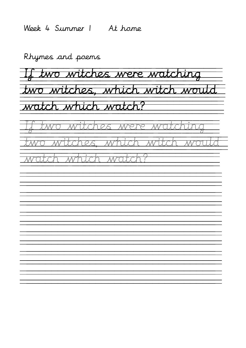Week 4 Summer 1 At home

If two witches were watching two witches, which witch would watch which watch? two witches were wat two witches, which witch would watch which watch?  $\frac{1}{\sqrt{2}}$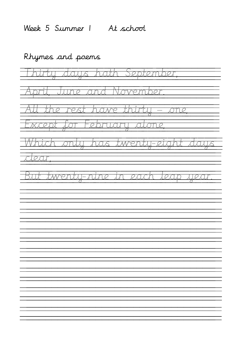Week 5 Summer 1 At school

Rhymes and poems Thirty days hath September, <u>April, June and November. </u> All the rest have thirty – one, Except for February alone, Which only has twenty-eight days clear, But twentu-nine in each leap uear  $\frac{1}{\sqrt{2}}$  $\frac{1}{\sqrt{2}}$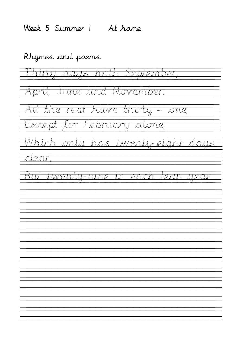Week 5 Summer 1 At home

Rhymes and poems Thirty days hath September, <u>April, June and November. </u> All the rest have thirty – one, Except for February alone, Which only has twenty-eight days clear, <u>but twentu-nine in each leap year</u>  $\frac{1}{\sqrt{2}}$  $\frac{1}{\sqrt{2}}$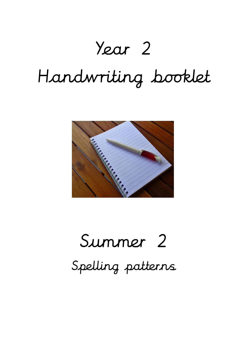## Year 2

# Handwriting booklet



# Summer 2 Spelling patterns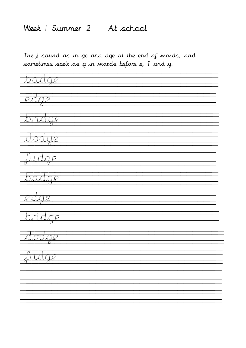#### Week 1 Summer 2 At school

The j sound as in ge and dge at the end of words, and sometimes spelt as g in words before e, I and y.

tata edge bridge dodge fudge badge edge bridge <u>dodge i</u> fudge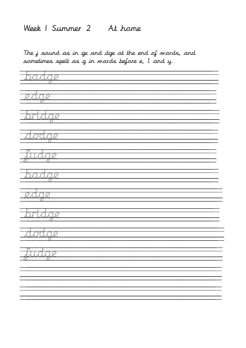#### Week 1 Summer 2 At home

The j sound as in ge and dge at the end of words, and sometimes spelt as g in words before e, I and y.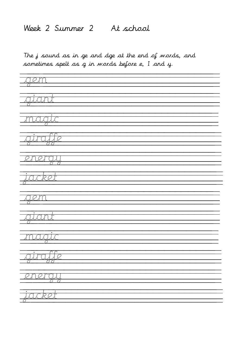#### Week 2 Summer 2 At school

The j sound as in ge and dge at the end of words, and sometimes spelt as g in words before e, I and y.

| <u>gem</u>                 |  |
|----------------------------|--|
| $\sqrt{2}$                 |  |
| <u>magiz</u>               |  |
| <u>giroffe</u>             |  |
|                            |  |
| <u>energul</u>             |  |
| <del>jacket</del><br>77    |  |
| <u>kilem</u><br>苙          |  |
| atant<br>77                |  |
| maar                       |  |
| airale<br><u>रत</u>        |  |
| <u>anartuu</u><br>रही होते |  |
| <u>iacket</u>              |  |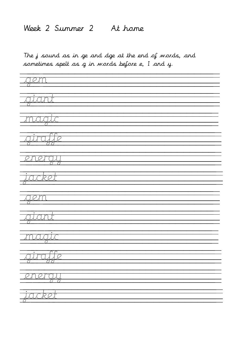#### Week 2 Summer 2 At home

The j sound as in ge and dge at the end of words, and sometimes spelt as g in words before e, I and y.

| <u>gem</u>                                                                                                                                      |
|-------------------------------------------------------------------------------------------------------------------------------------------------|
| $\overline{q\overline{i}a\overline{n}}$                                                                                                         |
| $\bullet$<br><u>maala</u>                                                                                                                       |
| 73                                                                                                                                              |
| <u>giroße</u>                                                                                                                                   |
| <u>energy</u>                                                                                                                                   |
| <u>iazket</u><br>77                                                                                                                             |
| klem                                                                                                                                            |
| xuxund                                                                                                                                          |
| 7 F                                                                                                                                             |
| <u>maau</u><br>a C                                                                                                                              |
| airule<br>$\overline{C}$<br><u> 1979 - 1989 - 1989 - 1989 - 1989 - 1989 - 1989 - 1989 - 1989 - 1989 - 1989 - 1989 - 1989 - 1989 - 1989 - 19</u> |
| <u>anartuu</u><br>रा रा                                                                                                                         |
| $\vdots$<br><u>taankat</u>                                                                                                                      |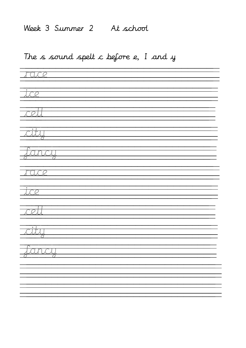#### Week 3 Summer 2 At school

#### The s sound spelt c before e, I and y

| ITOLOGIA                                                                                                                                                        |  |  |
|-----------------------------------------------------------------------------------------------------------------------------------------------------------------|--|--|
|                                                                                                                                                                 |  |  |
| <u>tice</u>                                                                                                                                                     |  |  |
| $\overline{\mathbb{R}\mathbb{Z}}$                                                                                                                               |  |  |
|                                                                                                                                                                 |  |  |
| $\overline{<}$ ity                                                                                                                                              |  |  |
|                                                                                                                                                                 |  |  |
| Jaraj                                                                                                                                                           |  |  |
| <u>i Tülce</u>                                                                                                                                                  |  |  |
|                                                                                                                                                                 |  |  |
| $\overline{\overline{\mathbb{R}}\mathbb{R}}$                                                                                                                    |  |  |
| <u> Tooll</u>                                                                                                                                                   |  |  |
|                                                                                                                                                                 |  |  |
| <b>City</b><br>77                                                                                                                                               |  |  |
|                                                                                                                                                                 |  |  |
| <u>Janay</u><br>$\overline{\mathbb{R}}$<br><u> 170 - 171 - 171 - 172 - 173 - 174 - 175 - 175 - 175 - 175 - 175 - 175 - 175 - 175 - 175 - 175 - 175 - 175 - </u> |  |  |
|                                                                                                                                                                 |  |  |
|                                                                                                                                                                 |  |  |
|                                                                                                                                                                 |  |  |
|                                                                                                                                                                 |  |  |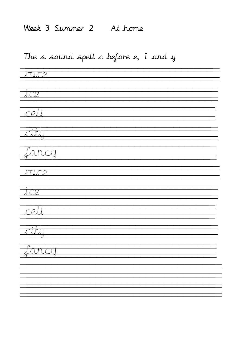#### Week 3 Summer 2 At home

#### The s sound spelt c before e, I and y

| race                                           |  |
|------------------------------------------------|--|
| <u>tice</u>                                    |  |
| <u>tadl</u>                                    |  |
|                                                |  |
| $\overline{\mathcal{L}}$                       |  |
| <u>Janay</u>                                   |  |
| <u>ITOLOGI</u>                                 |  |
| $\overline{\overline{\mathcal{A}}\mathcal{L}}$ |  |
| <u> Tooll</u>                                  |  |
| <b>Readers</b><br>77                           |  |
| रा<br><u> Janai</u>                            |  |
| <u> 77</u>                                     |  |
|                                                |  |
|                                                |  |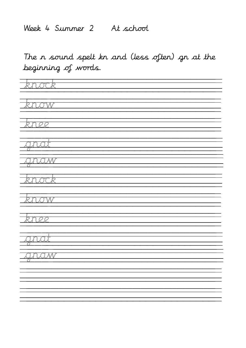#### Week 4 Summer 2 At school

The n sound spelt kn and (less often) gn at the beginning of words.

| Ŧ<br><u>knotk</u>                |  |  |
|----------------------------------|--|--|
| ÷<br><i>know</i>                 |  |  |
| <u>knee</u>                      |  |  |
| $\vdots$<br><u>kunkat</u>        |  |  |
| <b>SALE</b><br><u>anaw</u><br>77 |  |  |
| knock                            |  |  |
| <u> Tarow</u>                    |  |  |
| knee                             |  |  |
| <u>gnal</u>                      |  |  |
| 77<br><u>gnaw</u>                |  |  |
|                                  |  |  |
|                                  |  |  |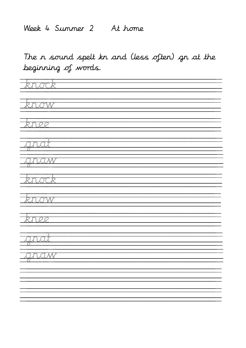#### Week 4 Summer 2 At home

The n sound spelt kn and (less often) gn at the beginning of words.

| <u>Tknook</u>                 |  |  |
|-------------------------------|--|--|
| <u> Thaow</u>                 |  |  |
| knee                          |  |  |
| anat<br>77                    |  |  |
| <u>gnaw</u>                   |  |  |
| <u> İspan</u>                 |  |  |
| <u>know</u>                   |  |  |
| <u>tenee</u>                  |  |  |
| <u>anat</u><br>Ŧ,             |  |  |
| <u>zanaw</u><br>$\mathcal{L}$ |  |  |
|                               |  |  |
|                               |  |  |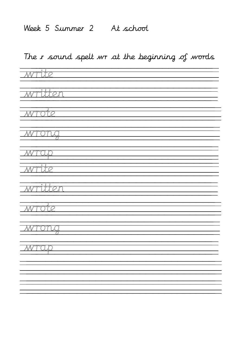#### Week 5 Summer 2 At school

### The r sound spelt wr at the beginning of words

| write              |
|--------------------|
| written            |
| <u> Wrote</u>      |
| <u> MTOTUJ</u>     |
| <u> WTCLD</u><br>÷ |
| <u>write</u>       |
| <u> Written</u>    |
| <u>whole</u>       |
| <u> WTONG</u>      |
| <u>- WTCLD</u>     |
|                    |
|                    |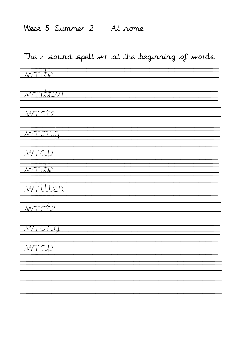#### Week 5 Summer 2 At home

### The r sound spelt wr at the beginning of words

| <u> Write</u>      |
|--------------------|
|                    |
| <u> Written</u>    |
|                    |
| <u> Wrote</u>      |
|                    |
| <u> MTONG</u>      |
| <u> WTCD</u>       |
| ÷                  |
| <u> Write</u>      |
| <u> Written</u>    |
|                    |
| <u> Witterform</u> |
|                    |
| <u> WTONG</u>      |
|                    |
| <u> WTCD</u>       |
|                    |
|                    |
|                    |
|                    |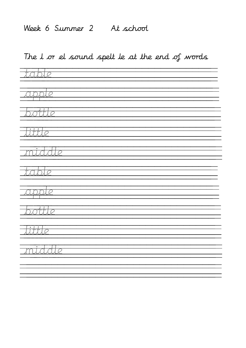#### Week 6 Summer 2 At school

#### The l or el sound spelt le at the end of words

| <del>Tabl</del> e |
|-------------------|
| <u> supple</u>    |
| <u> bottle</u>    |
| <u> Jubbe</u>     |
| <u> Triddle</u>   |
| <u> Table</u>     |
| $\sqrt{2pplc}$    |
| <u> Isotlic</u>   |
| <u> Tüttle</u>    |
| <u>middle</u>     |
|                   |
|                   |